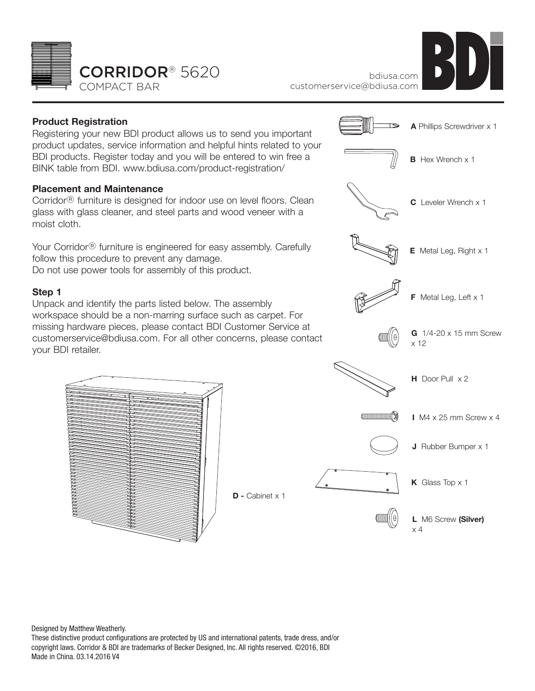



## **Product Registration**

Registering your new BDI product allows us to send you important product updates, service information and helpful hints related to your BDI products. Register today and you will be entered to win free a BINK table from BDI. www.bdiusa.com/product-registration/

## **Placement and Maintenance**

Corridor® furniture is designed for indoor use on level floors. Clean glass with glass cleaner, and steel parts and wood veneer with a moist cloth.

Your Corridor® furniture is engineered for easy assembly. Carefully follow this procedure to prevent any damage. Do not use power tools for assembly of this product.

## **Step 1**

Unpack and identify the parts listed below. The assembly workspace should be a non-marring surface such as carpet. For missing hardware pieces, please contact BDI Customer Service at customerservice@bdiusa.com. For all other concerns, please contact your BDI retailer.



x 4

Designed by Matthew Weatherly. These distinctive product configurations are protected by US and international patents, trade dress, and/or copyright laws. Corridor & BDI are trademarks of Becker Designed, Inc. All rights reserved. ©2016, BDI Made in China. 03.14.2016 V4

**D -** Cabinet x 1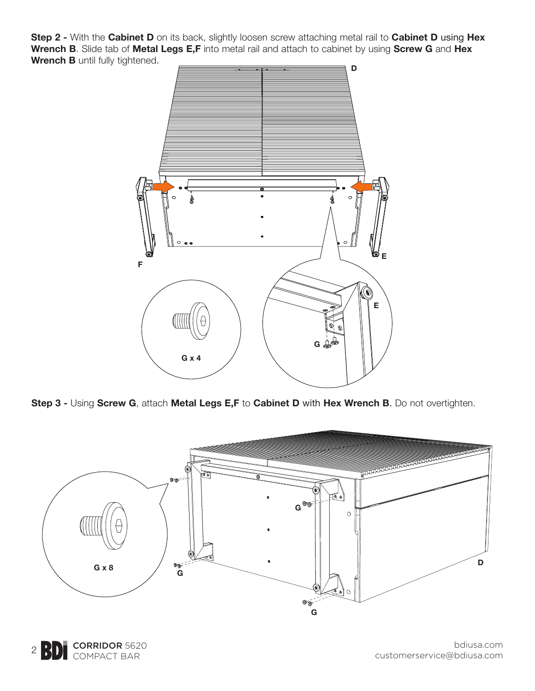**Step 2 -** With the **Cabinet D** on its back, slightly loosen screw attaching metal rail to **Cabinet D** using **Hex Wrench B**. Slide tab of **Metal Legs E,F** into metal rail and attach to cabinet by using **Screw G** and **Hex Wrench B** until fully tightened.



**Step 3 -** Using **Screw G**, attach **Metal Legs E,F** to **Cabinet D** with **Hex Wrench B**. Do not overtighten.



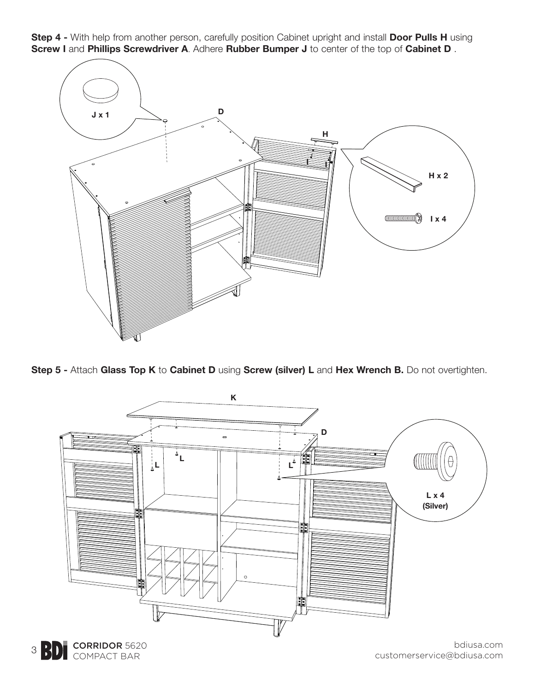**Step 4 -** With help from another person, carefully position Cabinet upright and install **Door Pulls H** using **Screw I** and **Phillips Screwdriver A**. Adhere **Rubber Bumper J** to center of the top of **Cabinet D** .



**Step 5 -** Attach **Glass Top K** to **Cabinet D** using **Screw (silver) L** and **Hex Wrench B.** Do not overtighten.





bdiusa.com customerservice@bdiusa.com